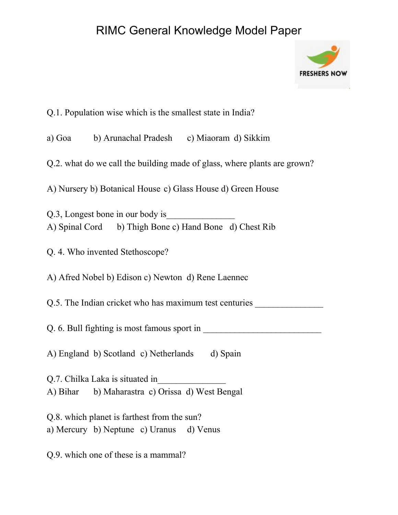## RIMC General Knowledge Model Paper



Q.1. Population wise which is the smallest state in India?

a) Goa b) Arunachal Pradesh c) Miaoram d) Sikkim

Q.2. what do we call the building made of glass, where plants are grown?

A) Nursery b) Botanical House c) Glass House d) Green House

Q.3, Longest bone in our body is A) Spinal Cord b) Thigh Bone c) Hand Bone d) Chest Rib

Q. 4. Who invented Stethoscope?

A) Afred Nobel b) Edison c) Newton d) Rene Laennec

Q.5. The Indian cricket who has maximum test centuries

Q. 6. Bull fighting is most famous sport in \_\_\_\_\_\_\_\_\_\_\_\_\_\_\_\_\_\_\_\_\_\_\_\_\_\_

A) England b) Scotland c) Netherlands d) Spain

Q.7. Chilka Laka is situated in\_\_\_\_\_\_\_\_\_\_\_\_\_\_\_ A) Bihar b) Maharastra c) Orissa d) West Bengal

Q.8. which planet is farthest from the sun? a) Mercury b) Neptune c) Uranus d) Venus

Q.9. which one of these is a mammal?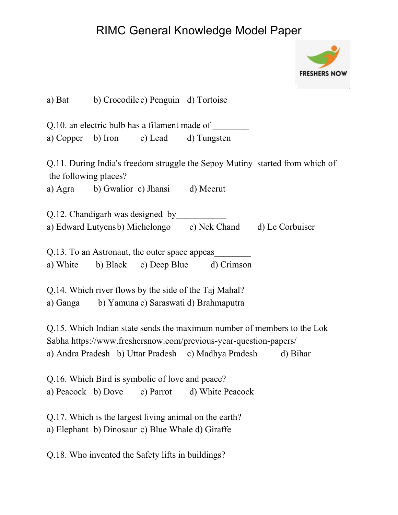## RIMC General Knowledge Model Paper



|                                                                                                            |  | a) Bat b) Crocodile c) Penguin d) Tortoise    |                                                                                                                                  |                                                                              |
|------------------------------------------------------------------------------------------------------------|--|-----------------------------------------------|----------------------------------------------------------------------------------------------------------------------------------|------------------------------------------------------------------------------|
| Q.10. an electric bulb has a filament made of                                                              |  |                                               |                                                                                                                                  |                                                                              |
|                                                                                                            |  |                                               | a) Copper b) Iron c) Lead d) Tungsten                                                                                            |                                                                              |
| the following places?                                                                                      |  |                                               |                                                                                                                                  | Q.11. During India's freedom struggle the Sepoy Mutiny started from which of |
|                                                                                                            |  | a) Agra b) Gwalior c) Jhansi d) Meerut        |                                                                                                                                  |                                                                              |
|                                                                                                            |  | Q.12. Chandigarh was designed by              |                                                                                                                                  |                                                                              |
|                                                                                                            |  |                                               | a) Edward Lutyensb) Michelongo c) Nek Chand d) Le Corbuiser                                                                      |                                                                              |
|                                                                                                            |  | Q.13. To an Astronaut, the outer space appeas | a) White b) Black c) Deep Blue d) Crimson                                                                                        |                                                                              |
| Q.14. Which river flows by the side of the Taj Mahal?<br>a) Ganga b) Yamuna c) Saraswati d) Brahmaputra    |  |                                               |                                                                                                                                  |                                                                              |
|                                                                                                            |  |                                               | Sabha https://www.freshersnow.com/previous-year-question-papers/<br>a) Andra Pradesh b) Uttar Pradesh c) Madhya Pradesh d) Bihar | Q.15. Which Indian state sends the maximum number of members to the Lok      |
|                                                                                                            |  |                                               |                                                                                                                                  |                                                                              |
| Q.16. Which Bird is symbolic of love and peace?<br>a) Peacock b) Dove c) Parrot d) White Peacock           |  |                                               |                                                                                                                                  |                                                                              |
| Q.17. Which is the largest living animal on the earth?<br>a) Elephant b) Dinosaur c) Blue Whale d) Giraffe |  |                                               |                                                                                                                                  |                                                                              |
| Q.18. Who invented the Safety lifts in buildings?                                                          |  |                                               |                                                                                                                                  |                                                                              |